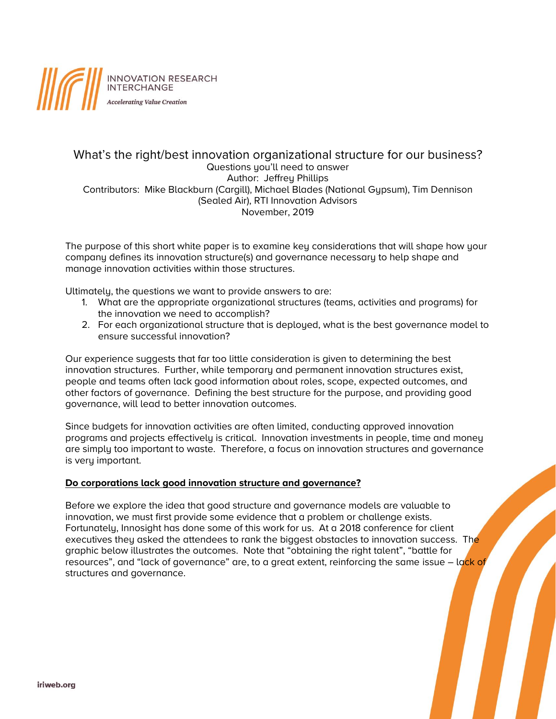

# What's the right/best innovation organizational structure for our business? Questions you'll need to answer Author: Jeffrey Phillips Contributors: Mike Blackburn (Cargill), Michael Blades (National Gypsum), Tim Dennison (Sealed Air), RTI Innovation Advisors November, 2019

The purpose of this short white paper is to examine key considerations that will shape how your company defines its innovation structure(s) and governance necessary to help shape and manage innovation activities within those structures.

Ultimately, the questions we want to provide answers to are:

- 1. What are the appropriate organizational structures (teams, activities and programs) for the innovation we need to accomplish?
- 2. For each organizational structure that is deployed, what is the best governance model to ensure successful innovation?

Our experience suggests that far too little consideration is given to determining the best innovation structures. Further, while temporary and permanent innovation structures exist, people and teams often lack good information about roles, scope, expected outcomes, and other factors of governance. Defining the best structure for the purpose, and providing good governance, will lead to better innovation outcomes.

Since budgets for innovation activities are often limited, conducting approved innovation programs and projects effectively is critical. Innovation investments in people, time and money are simply too important to waste. Therefore, a focus on innovation structures and governance is very important.

# **Do corporations lack good innovation structure and governance?**

Before we explore the idea that good structure and governance models are valuable to innovation, we must first provide some evidence that a problem or challenge exists. Fortunately, Innosight has done some of this work for us. At a 2018 conference for client executives they asked the attendees to rank the biggest obstacles to innovation success. The graphic below illustrates the outcomes. Note that "obtaining the right talent", "battle for resources", and "lack of governance" are, to a great extent, reinforcing the same issue - lack of structures and governance.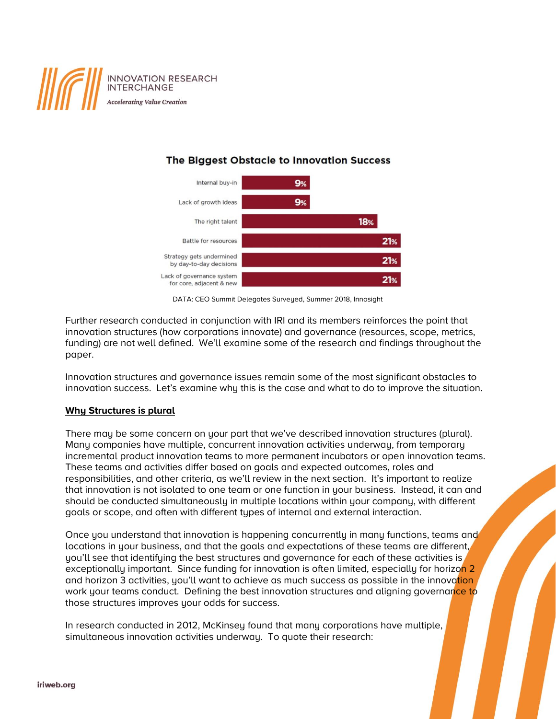

# The Biggest Obstacle to Innovation Success



DATA: CEO Summit Delegates Surveyed, Summer 2018, Innosight

Further research conducted in conjunction with IRI and its members reinforces the point that innovation structures (how corporations innovate) and governance (resources, scope, metrics, funding) are not well defined. We'll examine some of the research and findings throughout the paper.

Innovation structures and governance issues remain some of the most significant obstacles to innovation success. Let's examine why this is the case and what to do to improve the situation.

# **Why Structures is plural**

There may be some concern on your part that we've described innovation structures (plural). Many companies have multiple, concurrent innovation activities underway, from temporary incremental product innovation teams to more permanent incubators or open innovation teams. These teams and activities differ based on goals and expected outcomes, roles and responsibilities, and other criteria, as we'll review in the next section. It's important to realize that innovation is not isolated to one team or one function in your business. Instead, it can and should be conducted simultaneously in multiple locations within your company, with different goals or scope, and often with different types of internal and external interaction.

Once you understand that innovation is happening concurrently in many functions, teams and locations in your business, and that the goals and expectations of these teams are different, you'll see that identifying the best structures and governance for each of these activities is exceptionally important. Since funding for innovation is often limited, especially for horizon 2 and horizon 3 activities, you'll want to achieve as much success as possible in the innovation work your teams conduct. Defining the best innovation structures and aligning governance to those structures improves your odds for success.

In research conducted in 2012, McKinsey found that many corporations have multiple, simultaneous innovation activities underway. To quote their research: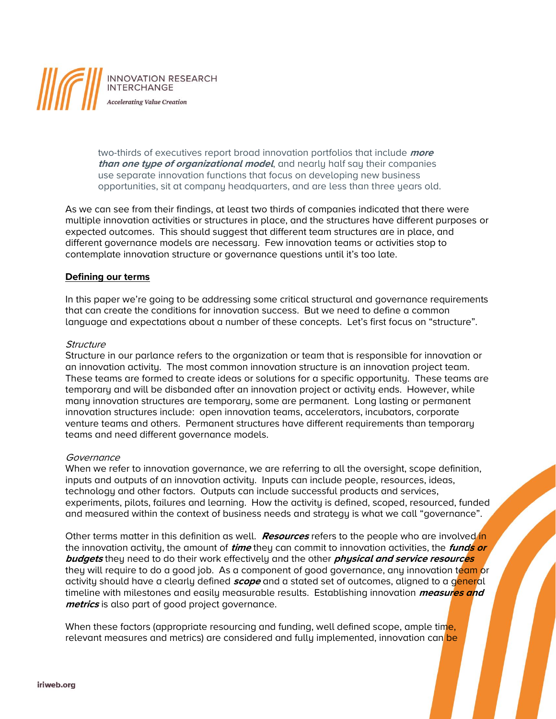

two-thirds of executives report broad innovation portfolios that include **more than one type of organizational model**, and nearly half say their companies use separate innovation functions that focus on developing new business opportunities, sit at company headquarters, and are less than three years old.

As we can see from their findings, at least two thirds of companies indicated that there were multiple innovation activities or structures in place, and the structures have different purposes or expected outcomes. This should suggest that different team structures are in place, and different governance models are necessary. Few innovation teams or activities stop to contemplate innovation structure or governance questions until it's too late.

### **Defining our terms**

In this paper we're going to be addressing some critical structural and governance requirements that can create the conditions for innovation success. But we need to define a common language and expectations about a number of these concepts. Let's first focus on "structure".

### **Structure**

Structure in our parlance refers to the organization or team that is responsible for innovation or an innovation activity. The most common innovation structure is an innovation project team. These teams are formed to create ideas or solutions for a specific opportunity. These teams are temporary and will be disbanded after an innovation project or activity ends. However, while many innovation structures are temporary, some are permanent. Long lasting or permanent innovation structures include: open innovation teams, accelerators, incubators, corporate venture teams and others. Permanent structures have different requirements than temporary teams and need different governance models.

### Governance

When we refer to innovation governance, we are referring to all the oversight, scope definition, inputs and outputs of an innovation activity. Inputs can include people, resources, ideas, technology and other factors. Outputs can include successful products and services, experiments, pilots, failures and learning. How the activity is defined, scoped, resourced, funded and measured within the context of business needs and strategy is what we call "governance".

Other terms matter in this definition as well. **Resources** refers to the people who are involved in the innovation activity, the amount of **time** they can commit to innovation activities, the **funds or budgets** they need to do their work effectively and the other **physical and service resources** they will require to do a good job. As a component of good governance, any innovation team or activity should have a clearly defined **scope** and a stated set of outcomes, aligned to a general timeline with milestones and easily measurable results. Establishing innovation **measures and metrics** is also part of good project governance.

When these factors (appropriate resourcing and funding, well defined scope, ample time, relevant measures and metrics) are considered and fully implemented, innovation can be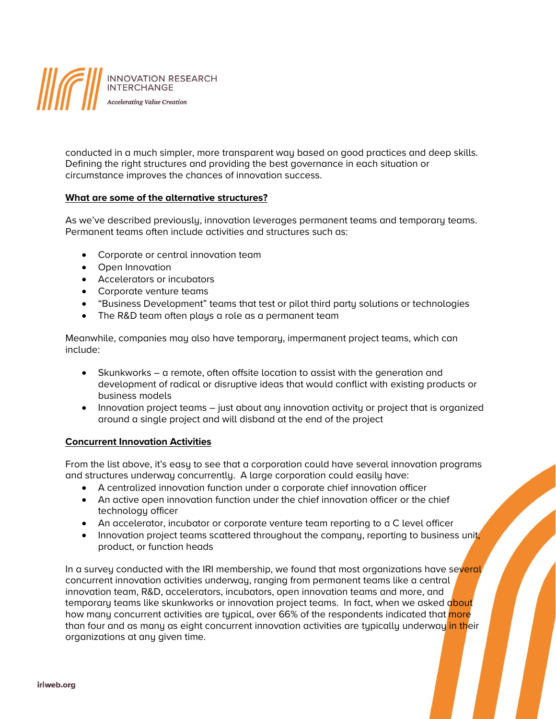

conducted in a much simpler, more transparent way based on good practices and deep skills. Defining the right structures and providing the best governance in each situation or circumstance improves the chances of innovation success.

# **What are some of the alternative structures?**

As we've described previously, innovation leverages permanent teams and temporary teams. Permanent teams often include activities and structures such as:

- Corporate or central innovation team
- Open Innovation
- Accelerators or incubators
- Corporate venture teams
- "Business Development" teams that test or pilot third party solutions or technologies
- The R&D team often plays a role as a permanent team

Meanwhile, companies may also have temporary, impermanent project teams, which can include:

- Skunkworks a remote, often offsite location to assist with the generation and development of radical or disruptive ideas that would conflict with existing products or business models
- Innovation project teams just about any innovation activity or project that is organized around a single project and will disband at the end of the project

# **Concurrent Innovation Activities**

From the list above, it's easy to see that a corporation could have several innovation programs and structures underway concurrently. A large corporation could easily have:

- A centralized innovation function under a corporate chief innovation officer
- An active open innovation function under the chief innovation officer or the chief technology officer
- An accelerator, incubator or corporate venture team reporting to a C level officer
- Innovation project teams scattered throughout the company, reporting to business unit, product, or function heads

In a survey conducted with the IRI membership, we found that most organizations have several concurrent innovation activities underway, ranging from permanent teams like a central innovation team, R&D, accelerators, incubators, open innovation teams and more, and temporary teams like skunkworks or innovation project teams. In fact, when we asked about how many concurrent activities are typical, over 66% of the respondents indicated that more than four and as many as eight concurrent innovation activities are typically underway in their organizations at any given time.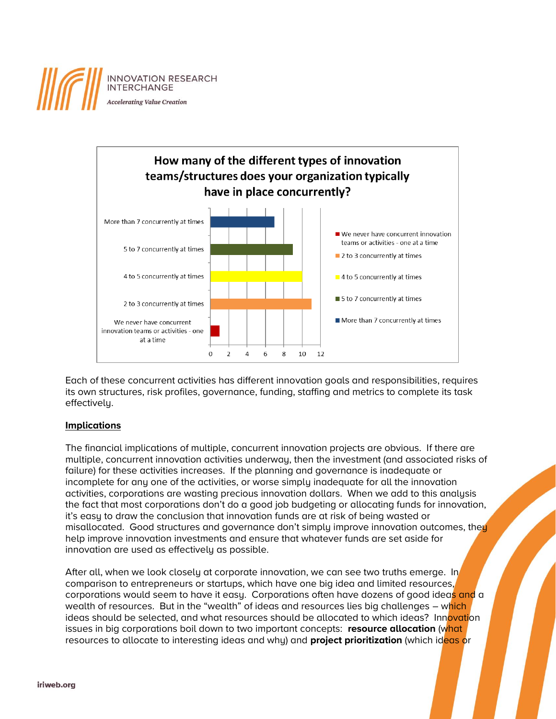



Each of these concurrent activities has different innovation goals and responsibilities, requires its own structures, risk profiles, governance, funding, staffing and metrics to complete its task effectively.

# **Implications**

The financial implications of multiple, concurrent innovation projects are obvious. If there are multiple, concurrent innovation activities underway, then the investment (and associated risks of failure) for these activities increases. If the planning and governance is inadequate or incomplete for any one of the activities, or worse simply inadequate for all the innovation activities, corporations are wasting precious innovation dollars. When we add to this analysis the fact that most corporations don't do a good job budgeting or allocating funds for innovation, it's easy to draw the conclusion that innovation funds are at risk of being wasted or misallocated. Good structures and governance don't simply improve innovation outcomes, they help improve innovation investments and ensure that whatever funds are set aside for innovation are used as effectively as possible.

After all, when we look closely at corporate innovation, we can see two truths emerge. In comparison to entrepreneurs or startups, which have one big idea and limited resources, corporations would seem to have it easy. Corporations often have dozens of good ideas and a wealth of resources. But in the "wealth" of ideas and resources lies big challenges – which ideas should be selected, and what resources should be allocated to which ideas? Innovation issues in big corporations boil down to two important concepts: **resource allocation** (what resources to allocate to interesting ideas and why) and **project prioritization** (which ideas or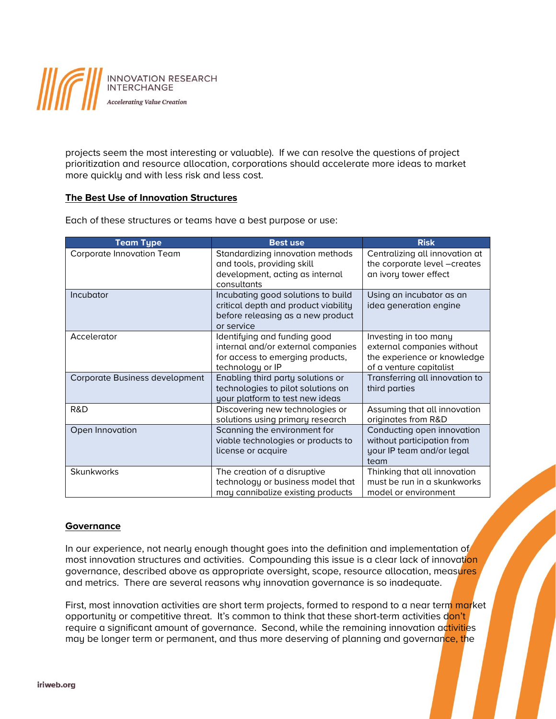

projects seem the most interesting or valuable). If we can resolve the questions of project prioritization and resource allocation, corporations should accelerate more ideas to market more quickly and with less risk and less cost.

# **The Best Use of Innovation Structures**

| <b>Team Type</b>               | <b>Best use</b>                                                                                                               | <b>Risk</b>                                                                                                   |
|--------------------------------|-------------------------------------------------------------------------------------------------------------------------------|---------------------------------------------------------------------------------------------------------------|
| Corporate Innovation Team      | Standardizing innovation methods<br>and tools, providing skill<br>development, acting as internal<br>consultants              | Centralizing all innovation at<br>the corporate level -creates<br>an ivory tower effect                       |
| Incubator                      | Incubating good solutions to build<br>critical depth and product viability<br>before releasing as a new product<br>or service | Using an incubator as an<br>idea generation engine                                                            |
| Accelerator                    | Identifying and funding good<br>internal and/or external companies<br>for access to emerging products,<br>technology or IP    | Investing in too many<br>external companies without<br>the experience or knowledge<br>of a venture capitalist |
| Corporate Business development | Enabling third party solutions or<br>technologies to pilot solutions on<br>your platform to test new ideas                    | Transferring all innovation to<br>third parties                                                               |
| R&D                            | Discovering new technologies or<br>solutions using primary research                                                           | Assuming that all innovation<br>originates from R&D                                                           |
| Open Innovation                | Scanning the environment for<br>viable technologies or products to<br>license or acquire                                      | Conducting open innovation<br>without participation from<br>your IP team and/or legal<br>team                 |
| <b>Skunkworks</b>              | The creation of a disruptive<br>technology or business model that<br>may cannibalize existing products                        | Thinking that all innovation<br>must be run in a skunkworks<br>model or environment                           |

Each of these structures or teams have a best purpose or use:

# **Governance**

In our experience, not nearly enough thought goes into the definition and implementation of most innovation structures and activities. Compounding this issue is a clear lack of innovation governance, described above as appropriate oversight, scope, resource allocation, measures and metrics. There are several reasons why innovation governance is so inadequate.

First, most innovation activities are short term projects, formed to respond to a near term market opportunity or competitive threat. It's common to think that these short-term activities don't require a significant amount of governance. Second, while the remaining innovation activities may be longer term or permanent, and thus more deserving of planning and governance, the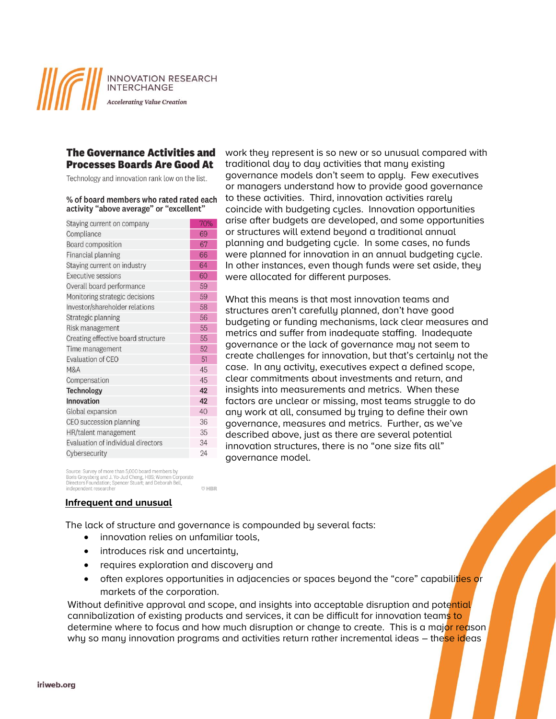**INNOVATION RESEARCH INTERCHANGE** 

**Accelerating Value Creation** 

# **The Governance Activities and Processes Boards Are Good At**

Technology and innovation rank low on the list.

#### % of board members who rated rated each activity "above average" or "excellent"

| Staying current on company         | 70% |
|------------------------------------|-----|
| Compliance                         | 69  |
| Board composition                  | 67  |
| Financial planning                 | 66  |
| Staying current on industry        | 64  |
| Executive sessions                 | 60  |
| Overall board performance          | 59  |
| Monitoring strategic decisions     | 59  |
| Investor/shareholder relations     | 58  |
| Strategic planning                 | 56  |
| Risk management                    | 55  |
| Creating effective board structure | 55  |
| Time management                    | 52  |
| Evaluation of CEO                  | 51  |
| <b>M&amp;A</b>                     | 45  |
| Compensation                       | 45  |
| Technology                         | 42  |
| <b>Innovation</b>                  | 42  |
| Global expansion                   | 40  |
| CEO succession planning            | 36  |
| HR/talent management               | 35  |
| Evaluation of individual directors | 34  |
| Cybersecurity                      | 24  |
|                                    |     |

work they represent is so new or so unusual compared with traditional day to day activities that many existing governance models don't seem to apply. Few executives or managers understand how to provide good governance to these activities. Third, innovation activities rarely coincide with budgeting cycles. Innovation opportunities arise after budgets are developed, and some opportunities or structures will extend beyond a traditional annual planning and budgeting cycle. In some cases, no funds were planned for innovation in an annual budgeting cycle. In other instances, even though funds were set aside, they were allocated for different purposes.

What this means is that most innovation teams and structures aren't carefully planned, don't have good budgeting or funding mechanisms, lack clear measures and metrics and suffer from inadequate staffing. Inadequate governance or the lack of governance may not seem to create challenges for innovation, but that's certainly not the case. In any activity, executives expect a defined scope, clear commitments about investments and return, and insights into measurements and metrics. When these factors are unclear or missing, most teams struggle to do any work at all, consumed by trying to define their own governance, measures and metrics. Further, as we've described above, just as there are several potential innovation structures, there is no "one size fits all" governance model.

Source: Survey of more than 5,000 board members by<br>Boris Groysberg and J. Yo-Jud Cheng, HBS; Women Corporate Directors Foundation: Spencer Stuart: and Deborah Bell independent researcher

### **Infrequent and unusual**

The lack of structure and governance is compounded by several facts:

**U HBR** 

- innovation relies on unfamiliar tools,
- introduces risk and uncertainty,
- requires exploration and discovery and
- often explores opportunities in adjacencies or spaces beyond the "core" capabilities or markets of the corporation.

Without definitive approval and scope, and insights into acceptable disruption and potential cannibalization of existing products and services, it can be difficult for innovation teams to determine where to focus and how much disruption or change to create. This is a major reason why so many innovation programs and activities return rather incremental ideas - these ideas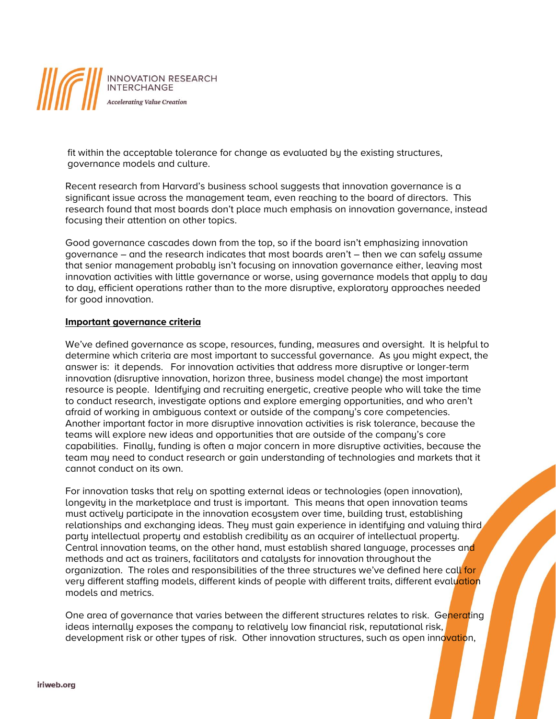

fit within the acceptable tolerance for change as evaluated by the existing structures, governance models and culture.

Recent research from Harvard's business school suggests that innovation governance is a significant issue across the management team, even reaching to the board of directors. This research found that most boards don't place much emphasis on innovation governance, instead focusing their attention on other topics.

Good governance cascades down from the top, so if the board isn't emphasizing innovation governance – and the research indicates that most boards aren't – then we can safely assume that senior management probably isn't focusing on innovation governance either, leaving most innovation activities with little governance or worse, using governance models that apply to day to day, efficient operations rather than to the more disruptive, exploratory approaches needed for good innovation.

### **Important governance criteria**

We've defined governance as scope, resources, funding, measures and oversight. It is helpful to determine which criteria are most important to successful governance. As you might expect, the answer is: it depends. For innovation activities that address more disruptive or longer-term innovation (disruptive innovation, horizon three, business model change) the most important resource is people. Identifying and recruiting energetic, creative people who will take the time to conduct research, investigate options and explore emerging opportunities, and who aren't afraid of working in ambiguous context or outside of the company's core competencies. Another important factor in more disruptive innovation activities is risk tolerance, because the teams will explore new ideas and opportunities that are outside of the company's core capabilities. Finally, funding is often a major concern in more disruptive activities, because the team may need to conduct research or gain understanding of technologies and markets that it cannot conduct on its own.

For innovation tasks that rely on spotting external ideas or technologies (open innovation), longevity in the marketplace and trust is important. This means that open innovation teams must actively participate in the innovation ecosystem over time, building trust, establishing relationships and exchanging ideas. They must gain experience in identifying and valuing third party intellectual property and establish credibility as an acquirer of intellectual property. Central innovation teams, on the other hand, must establish shared language, processes and methods and act as trainers, facilitators and catalysts for innovation throughout the organization. The roles and responsibilities of the three structures we've defined here call for very different staffing models, different kinds of people with different traits, different evaluation models and metrics.

One area of governance that varies between the different structures relates to risk. Generating ideas internally exposes the company to relatively low financial risk, reputational risk, development risk or other types of risk. Other innovation structures, such as open innovation,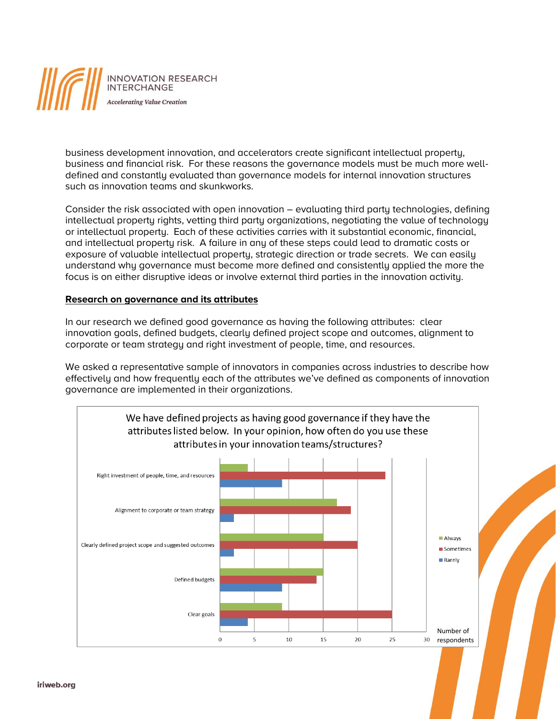

business development innovation, and accelerators create significant intellectual property, business and financial risk. For these reasons the governance models must be much more welldefined and constantly evaluated than governance models for internal innovation structures such as innovation teams and skunkworks.

Consider the risk associated with open innovation – evaluating third party technologies, defining intellectual property rights, vetting third party organizations, negotiating the value of technology or intellectual property. Each of these activities carries with it substantial economic, financial, and intellectual property risk. A failure in any of these steps could lead to dramatic costs or exposure of valuable intellectual property, strategic direction or trade secrets. We can easily understand why governance must become more defined and consistently applied the more the focus is on either disruptive ideas or involve external third parties in the innovation activity.

### **Research on governance and its attributes**

In our research we defined good governance as having the following attributes: clear innovation goals, defined budgets, clearly defined project scope and outcomes, alignment to corporate or team strategy and right investment of people, time, and resources.

We asked a representative sample of innovators in companies across industries to describe how effectively and how frequently each of the attributes we've defined as components of innovation governance are implemented in their organizations.

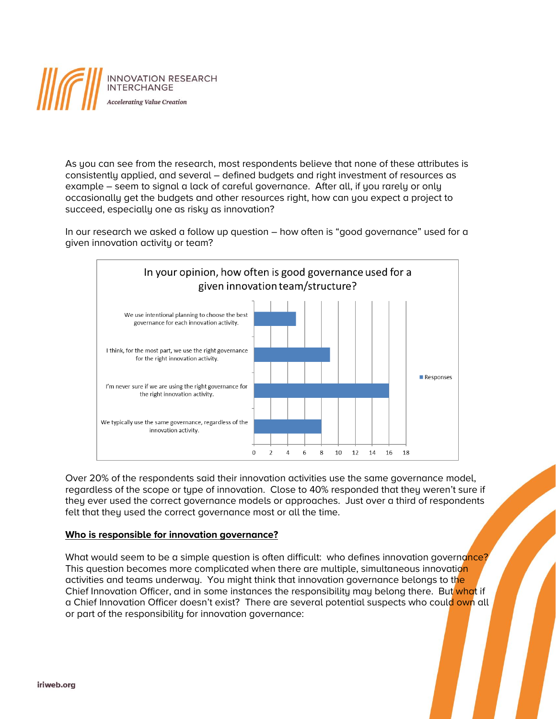

As you can see from the research, most respondents believe that none of these attributes is consistently applied, and several – defined budgets and right investment of resources as example – seem to signal a lack of careful governance. After all, if you rarely or only occasionally get the budgets and other resources right, how can you expect a project to succeed, especially one as risky as innovation?

In our research we asked a follow up question – how often is "good governance" used for a given innovation activity or team?



Over 20% of the respondents said their innovation activities use the same governance model, regardless of the scope or type of innovation. Close to 40% responded that they weren't sure if they ever used the correct governance models or approaches. Just over a third of respondents felt that they used the correct governance most or all the time.

# **Who is responsible for innovation governance?**

What would seem to be a simple question is often difficult: who defines innovation governance? This question becomes more complicated when there are multiple, simultaneous innovation activities and teams underway. You might think that innovation governance belongs to the Chief Innovation Officer, and in some instances the responsibility may belong there. But what if a Chief Innovation Officer doesn't exist? There are several potential suspects who could own all or part of the responsibility for innovation governance: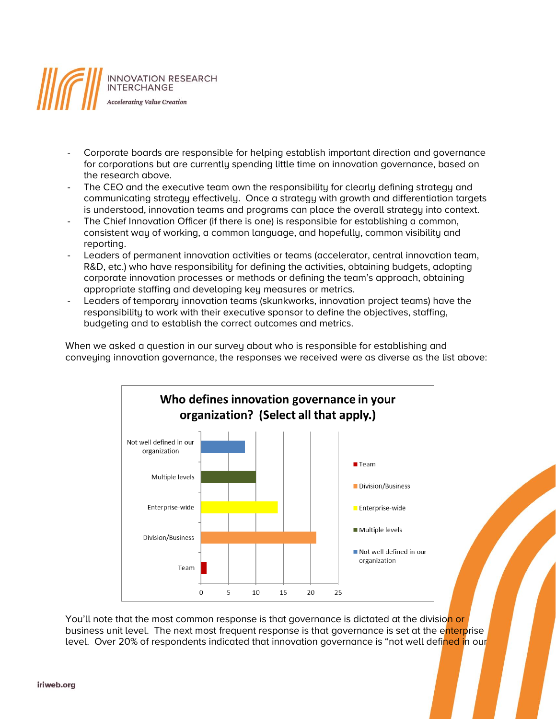

- Corporate boards are responsible for helping establish important direction and governance for corporations but are currently spending little time on innovation governance, based on the research above.
- The CEO and the executive team own the responsibility for clearly defining strategy and communicating strategy effectively. Once a strategy with growth and differentiation targets is understood, innovation teams and programs can place the overall strategy into context.
- The Chief Innovation Officer (if there is one) is responsible for establishing a common, consistent way of working, a common language, and hopefully, common visibility and reporting.
- Leaders of permanent innovation activities or teams (accelerator, central innovation team, R&D, etc.) who have responsibility for defining the activities, obtaining budgets, adopting corporate innovation processes or methods or defining the team's approach, obtaining appropriate staffing and developing key measures or metrics.
- Leaders of temporary innovation teams (skunkworks, innovation project teams) have the responsibility to work with their executive sponsor to define the objectives, staffing, budgeting and to establish the correct outcomes and metrics.

When we asked a question in our survey about who is responsible for establishing and conveying innovation governance, the responses we received were as diverse as the list above:



You'll note that the most common response is that governance is dictated at the division or business unit level. The next most frequent response is that governance is set at the enterprise level. Over 20% of respondents indicated that innovation governance is "not well defined in our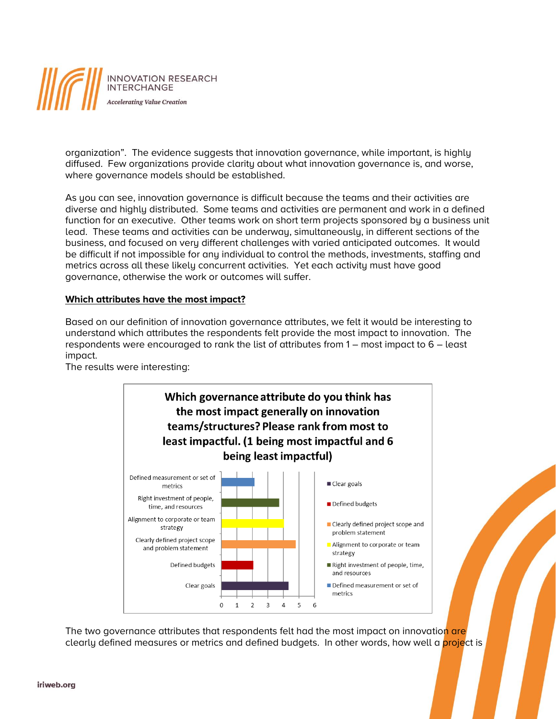

organization". The evidence suggests that innovation governance, while important, is highly diffused. Few organizations provide clarity about what innovation governance is, and worse, where governance models should be established.

As you can see, innovation governance is difficult because the teams and their activities are diverse and highly distributed. Some teams and activities are permanent and work in a defined function for an executive. Other teams work on short term projects sponsored by a business unit lead. These teams and activities can be underway, simultaneously, in different sections of the business, and focused on very different challenges with varied anticipated outcomes. It would be difficult if not impossible for any individual to control the methods, investments, staffing and metrics across all these likely concurrent activities. Yet each activity must have good governance, otherwise the work or outcomes will suffer.

# **Which attributes have the most impact?**

Based on our definition of innovation governance attributes, we felt it would be interesting to understand which attributes the respondents felt provide the most impact to innovation. The respondents were encouraged to rank the list of attributes from 1 – most impact to 6 – least impact.



The results were interesting:

The two governance attributes that respondents felt had the most impact on innovation are clearly defined measures or metrics and defined budgets. In other words, how well a **project** is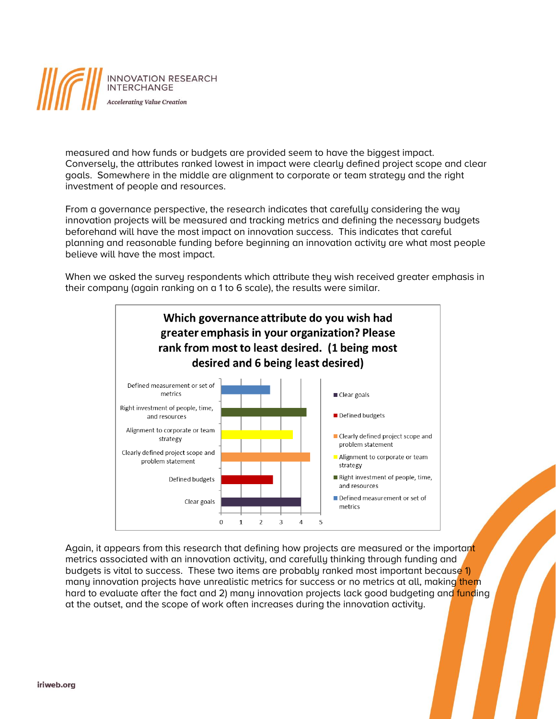

measured and how funds or budgets are provided seem to have the biggest impact. Conversely, the attributes ranked lowest in impact were clearly defined project scope and clear goals. Somewhere in the middle are alignment to corporate or team strategy and the right investment of people and resources.

From a governance perspective, the research indicates that carefully considering the way innovation projects will be measured and tracking metrics and defining the necessary budgets beforehand will have the most impact on innovation success. This indicates that careful planning and reasonable funding before beginning an innovation activity are what most people believe will have the most impact.

When we asked the survey respondents which attribute they wish received greater emphasis in their company (again ranking on a 1 to 6 scale), the results were similar.



Again, it appears from this research that defining how projects are measured or the important metrics associated with an innovation activity, and carefully thinking through funding and budgets is vital to success. These two items are probably ranked most important because 1) many innovation projects have unrealistic metrics for success or no metrics at all, making them hard to evaluate after the fact and 2) many innovation projects lack good budgeting and funding at the outset, and the scope of work often increases during the innovation activity.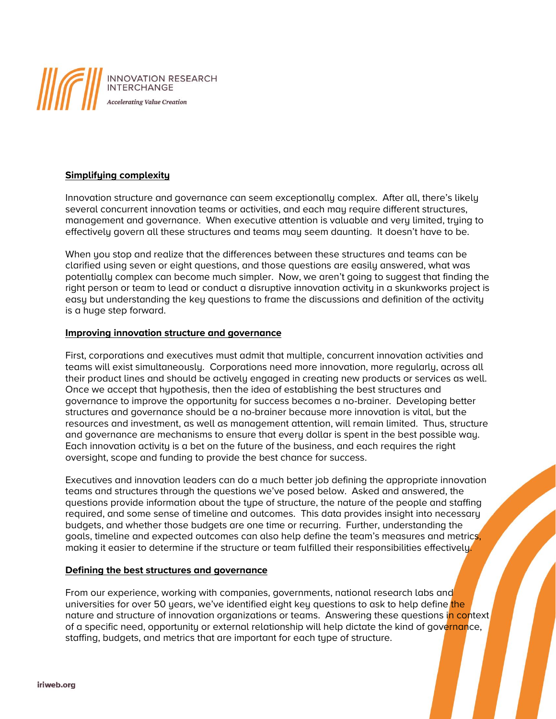

# **Simplifying complexity**

Innovation structure and governance can seem exceptionally complex. After all, there's likely several concurrent innovation teams or activities, and each may require different structures, management and governance. When executive attention is valuable and very limited, trying to effectively govern all these structures and teams may seem daunting. It doesn't have to be.

When you stop and realize that the differences between these structures and teams can be clarified using seven or eight questions, and those questions are easily answered, what was potentially complex can become much simpler. Now, we aren't going to suggest that finding the right person or team to lead or conduct a disruptive innovation activity in a skunkworks project is easy but understanding the key questions to frame the discussions and definition of the activity is a huge step forward.

### **Improving innovation structure and governance**

First, corporations and executives must admit that multiple, concurrent innovation activities and teams will exist simultaneously. Corporations need more innovation, more regularly, across all their product lines and should be actively engaged in creating new products or services as well. Once we accept that hypothesis, then the idea of establishing the best structures and governance to improve the opportunity for success becomes a no-brainer. Developing better structures and governance should be a no-brainer because more innovation is vital, but the resources and investment, as well as management attention, will remain limited. Thus, structure and governance are mechanisms to ensure that every dollar is spent in the best possible way. Each innovation activity is a bet on the future of the business, and each requires the right oversight, scope and funding to provide the best chance for success.

Executives and innovation leaders can do a much better job defining the appropriate innovation teams and structures through the questions we've posed below. Asked and answered, the questions provide information about the type of structure, the nature of the people and staffing required, and some sense of timeline and outcomes. This data provides insight into necessary budgets, and whether those budgets are one time or recurring. Further, understanding the goals, timeline and expected outcomes can also help define the team's measures and metrics, making it easier to determine if the structure or team fulfilled their responsibilities effectively.

### **Defining the best structures and governance**

From our experience, working with companies, governments, national research labs and universities for over 50 years, we've identified eight key questions to ask to help define the nature and structure of innovation organizations or teams. Answering these questions in context of a specific need, opportunity or external relationship will help dictate the kind of governance, staffing, budgets, and metrics that are important for each type of structure.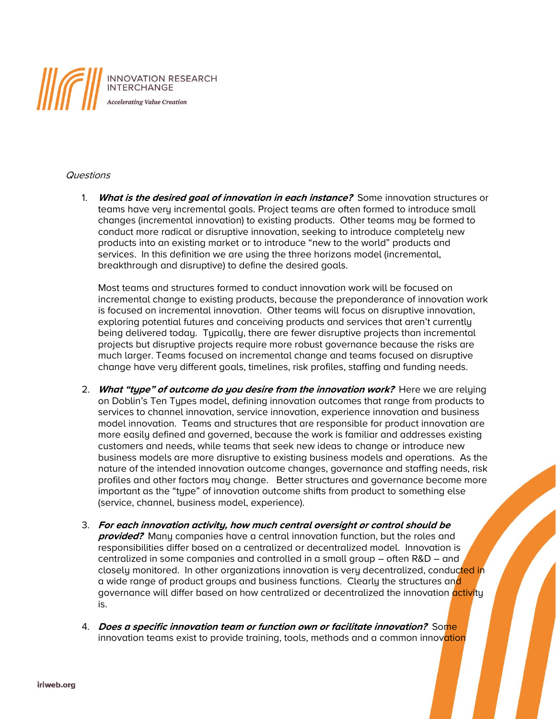

# **Questions**

1. **What is the desired goal of innovation in each instance?** Some innovation structures or teams have very incremental goals. Project teams are often formed to introduce small changes (incremental innovation) to existing products. Other teams may be formed to conduct more radical or disruptive innovation, seeking to introduce completely new products into an existing market or to introduce "new to the world" products and services. In this definition we are using the three horizons model (incremental, breakthrough and disruptive) to define the desired goals.

Most teams and structures formed to conduct innovation work will be focused on incremental change to existing products, because the preponderance of innovation work is focused on incremental innovation. Other teams will focus on disruptive innovation, exploring potential futures and conceiving products and services that aren't currently being delivered today. Typically, there are fewer disruptive projects than incremental projects but disruptive projects require more robust governance because the risks are much larger. Teams focused on incremental change and teams focused on disruptive change have very different goals, timelines, risk profiles, staffing and funding needs.

- 2. **What "type" of outcome do you desire from the innovation work?** Here we are relying on Doblin's Ten Types model, defining innovation outcomes that range from products to services to channel innovation, service innovation, experience innovation and business model innovation. Teams and structures that are responsible for product innovation are more easily defined and governed, because the work is familiar and addresses existing customers and needs, while teams that seek new ideas to change or introduce new business models are more disruptive to existing business models and operations. As the nature of the intended innovation outcome changes, governance and staffing needs, risk profiles and other factors may change. Better structures and governance become more important as the "type" of innovation outcome shifts from product to something else (service, channel, business model, experience).
- 3. **For each innovation activity, how much central oversight or control should be provided?** Many companies have a central innovation function, but the roles and responsibilities differ based on a centralized or decentralized model. Innovation is centralized in some companies and controlled in a small group – often R&D – and closely monitored. In other organizations innovation is very decentralized, conducted in a wide range of product groups and business functions. Clearly the structures and governance will differ based on how centralized or decentralized the innovation activity is.
- 4. **Does a specific innovation team or function own or facilitate innovation?** Some innovation teams exist to provide training, tools, methods and a common innovation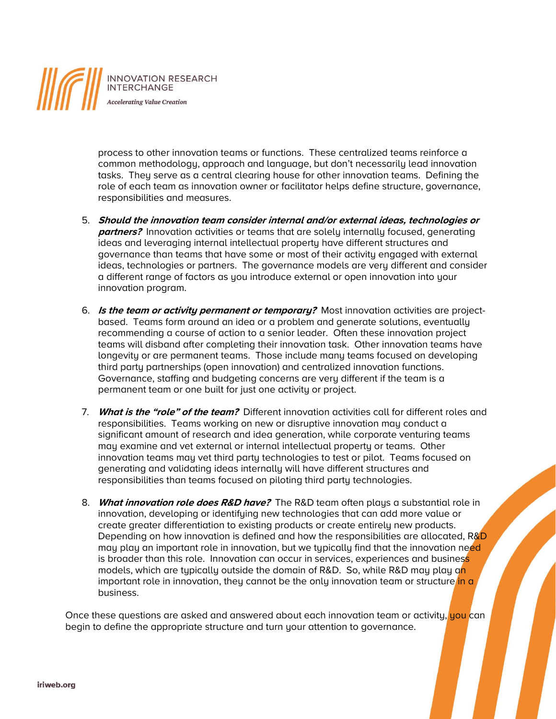

process to other innovation teams or functions. These centralized teams reinforce a common methodology, approach and language, but don't necessarily lead innovation tasks. They serve as a central clearing house for other innovation teams. Defining the role of each team as innovation owner or facilitator helps define structure, governance, responsibilities and measures.

- 5. **Should the innovation team consider internal and/or external ideas, technologies or partners?** Innovation activities or teams that are solely internally focused, generating ideas and leveraging internal intellectual property have different structures and governance than teams that have some or most of their activity engaged with external ideas, technologies or partners. The governance models are very different and consider a different range of factors as you introduce external or open innovation into your innovation program.
- 6. **Is the team or activity permanent or temporary?** Most innovation activities are projectbased. Teams form around an idea or a problem and generate solutions, eventually recommending a course of action to a senior leader. Often these innovation project teams will disband after completing their innovation task. Other innovation teams have longevity or are permanent teams. Those include many teams focused on developing third party partnerships (open innovation) and centralized innovation functions. Governance, staffing and budgeting concerns are very different if the team is a permanent team or one built for just one activity or project.
- 7. **What is the "role" of the team?** Different innovation activities call for different roles and responsibilities. Teams working on new or disruptive innovation may conduct a significant amount of research and idea generation, while corporate venturing teams may examine and vet external or internal intellectual property or teams. Other innovation teams may vet third party technologies to test or pilot. Teams focused on generating and validating ideas internally will have different structures and responsibilities than teams focused on piloting third party technologies.
- 8. **What innovation role does R&D have?** The R&D team often plays a substantial role in innovation, developing or identifying new technologies that can add more value or create greater differentiation to existing products or create entirely new products. Depending on how innovation is defined and how the responsibilities are allocated, R&D may play an important role in innovation, but we typically find that the innovation need is broader than this role. Innovation can occur in services, experiences and business models, which are typically outside the domain of R&D. So, while R&D may play an important role in innovation, they cannot be the only innovation team or structure in a business.

Once these questions are asked and answered about each innovation team or activity, you can begin to define the appropriate structure and turn your attention to governance.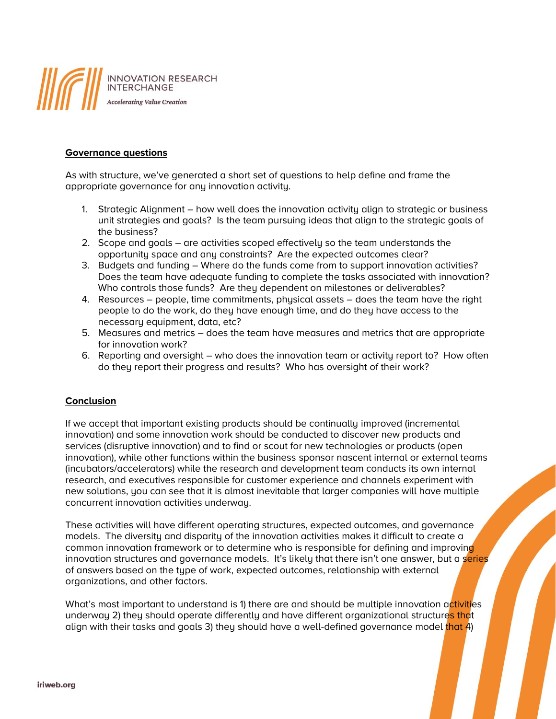

# **Governance questions**

As with structure, we've generated a short set of questions to help define and frame the appropriate governance for any innovation activity.

- 1. Strategic Alignment how well does the innovation activity align to strategic or business unit strategies and goals? Is the team pursuing ideas that align to the strategic goals of the business?
- 2. Scope and goals are activities scoped effectively so the team understands the opportunity space and any constraints? Are the expected outcomes clear?
- 3. Budgets and funding Where do the funds come from to support innovation activities? Does the team have adequate funding to complete the tasks associated with innovation? Who controls those funds? Are they dependent on milestones or deliverables?
- 4. Resources people, time commitments, physical assets does the team have the right people to do the work, do they have enough time, and do they have access to the necessary equipment, data, etc?
- 5. Measures and metrics does the team have measures and metrics that are appropriate for innovation work?
- 6. Reporting and oversight who does the innovation team or activity report to? How often do they report their progress and results? Who has oversight of their work?

# **Conclusion**

If we accept that important existing products should be continually improved (incremental innovation) and some innovation work should be conducted to discover new products and services (disruptive innovation) and to find or scout for new technologies or products (open innovation), while other functions within the business sponsor nascent internal or external teams (incubators/accelerators) while the research and development team conducts its own internal research, and executives responsible for customer experience and channels experiment with new solutions, you can see that it is almost inevitable that larger companies will have multiple concurrent innovation activities underway.

These activities will have different operating structures, expected outcomes, and governance models. The diversity and disparity of the innovation activities makes it difficult to create a common innovation framework or to determine who is responsible for defining and improving innovation structures and governance models. It's likely that there isn't one answer, but a series of answers based on the type of work, expected outcomes, relationship with external organizations, and other factors.

What's most important to understand is 1) there are and should be multiple innovation activities underway 2) they should operate differently and have different organizational structures that align with their tasks and goals 3) they should have a well-defined governance model that 4)